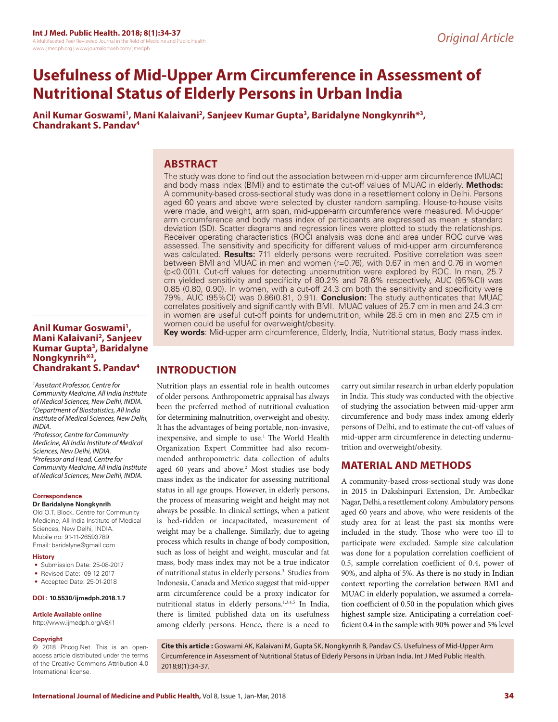# **Usefulness of Mid-Upper Arm Circumference in Assessment of Nutritional Status of Elderly Persons in Urban India**

Anil Kumar Goswami<sup>1</sup>, Mani Kalaivani<sup>2</sup>, Sanjeev Kumar Gupta<sup>3</sup>, Baridalyne Nongkynrih\*<sup>3</sup>, **Chandrakant S. Pandav4**

# **ABSTRACT**

The study was done to find out the association between mid-upper arm circumference (MUAC) and body mass index (BMI) and to estimate the cut-off values of MUAC in elderly. **Methods:**  A community-based cross-sectional study was done in a resettlement colony in Delhi. Persons aged 60 years and above were selected by cluster random sampling. House-to-house visits were made, and weight, arm span, mid-upper-arm circumference were measured. Mid-upper arm circumference and body mass index of participants are expressed as mean  $\pm$  standard deviation (SD). Scatter diagrams and regression lines were plotted to study the relationships. Receiver operating characteristics (ROC) analysis was done and area under ROC curve was assessed. The sensitivity and specificity for different values of mid-upper arm circumference was calculated. **Results:** 711 elderly persons were recruited. Positive correlation was seen between BMI and MUAC in men and women (r=0.76), with 0.67 in men and 0.76 in women (p<0.001). Cut-off values for detecting undernutrition were explored by ROC. In men, 25.7 cm yielded sensitivity and specificity of 80.2% and 78.6% respectively, AUC (95%CI) was 0.85 (0.80, 0.90). In women, with a cut-off 24.3 cm both the sensitivity and specificity were 79%, AUC (95%CI) was 0.86(0.81, 0.91). **Conclusion:** The study authenticates that MUAC correlates positively and significantly with BMI. MUAC values of 25.7 cm in men and 24.3 cm in women are useful cut-off points for undernutrition, while 28.5 cm in men and 27.5 cm in women could be useful for overweight/obesity.

#### **Anil Kumar Goswami1** Anil Kumar Goswami<sup>1</sup>,<br>Mani Kalaivani<sup>2</sup>, Sanjeev **Kumar Gupta3 , Baridalyne Nongkynrih\*3 , Chandrakant S. Pandav4**

*1 Assistant Professor, Centre for Community Medicine, All India Institute of Medical Sciences, New Delhi, INDIA. 2 Department of Biostatistics, All India Institute of Medical Sciences, New Delhi, INDIA.* 

*3 Professor, Centre for Community Medicine, All India Institute of Medical Sciences, New Delhi, INDIA. 4 Professor and Head, Centre for Community Medicine, All India Institute of Medical Sciences, New Delhi, INDIA.*

#### **Correspondence**

#### **Dr Baridalyne Nongkynrih**

Old O.T. Block, Centre for Community Medicine, All India Institute of Medical Sciences, New Delhi, INDIA. Mobile no: 91-11-26593789 Email: baridalyne@gmail.com

#### **History**

- Submission Date: 25-08-2017
- Revised Date: 09-12-2017
- Accepted Date: 25-01-2018

#### **DOI : 10.5530/ijmedph.2018.1.7**

#### **Article Available online**

http://www.ijmedph.org/v8/i1

#### **Copyright**

© 2018 Phcog.Net. This is an openaccess article distributed under the terms of the Creative Commons Attribution 4.0 International license.

**Key words**: Mid-upper arm circumference, Elderly, India, Nutritional status, Body mass index.

# **INTRODUCTION**

Nutrition plays an essential role in health outcomes of older persons. Anthropometric appraisal has always been the preferred method of nutritional evaluation for determining malnutrition, overweight and obesity. It has the advantages of being portable, non-invasive, inexpensive, and simple to use.<sup>1</sup> The World Health Organization Expert Committee had also recommended anthropometric data collection of adults aged 60 years and above.<sup>2</sup> Most studies use body mass index as the indicator for assessing nutritional status in all age groups. However, in elderly persons, the process of measuring weight and height may not always be possible. In clinical settings, when a patient is bed-ridden or incapacitated, measurement of weight may be a challenge. Similarly, due to ageing process which results in change of body composition, such as loss of height and weight, muscular and fat mass, body mass index may not be a true indicator of nutritional status in elderly persons.<sup>3</sup> Studies from Indonesia, Canada and Mexico suggest that mid-upper arm circumference could be a proxy indicator for nutritional status in elderly persons.1,3,4,5 In India, there is limited published data on its usefulness among elderly persons. Hence, there is a need to carry out similar research in urban elderly population in India. This study was conducted with the objective of studying the association between mid-upper arm circumference and body mass index among elderly persons of Delhi, and to estimate the cut-off values of mid-upper arm circumference in detecting undernutrition and overweight/obesity.

### **MATERIAL AND METHODS**

A community-based cross-sectional study was done in 2015 in Dakshinpuri Extension, Dr. Ambedkar Nagar, Delhi, a resettlement colony. Ambulatory persons aged 60 years and above, who were residents of the study area for at least the past six months were included in the study. Those who were too ill to participate were excluded. Sample size calculation was done for a population correlation coefficient of 0.5, sample correlation coefficient of 0.4, power of 90%, and alpha of 5%. As there is no study in Indian context reporting the correlation between BMI and MUAC in elderly population, we assumed a correlation coefficient of 0.50 in the population which gives highest sample size. Anticipating a correlation coefficient 0.4 in the sample with 90% power and 5% level

**Cite this article :** Goswami AK, Kalaivani M, Gupta SK, Nongkynrih B, Pandav CS. Usefulness of Mid-Upper Arm Circumference in Assessment of Nutritional Status of Elderly Persons in Urban India. Int J Med Public Health. 2018;8(1):34-37.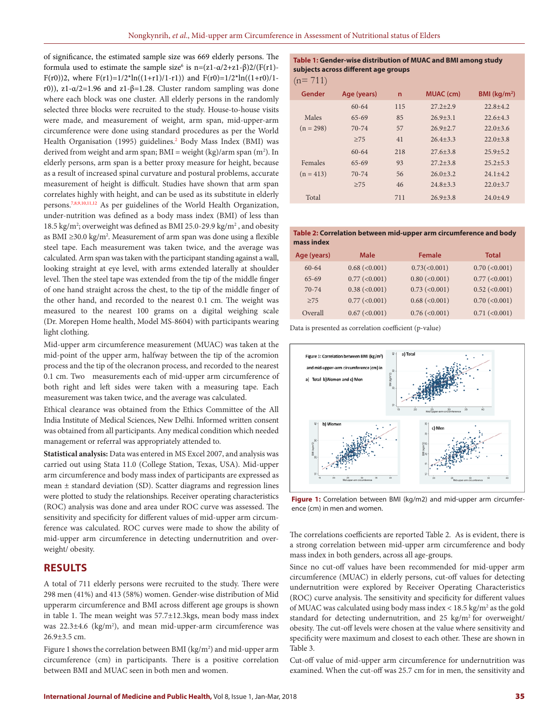of significance, the estimated sample size was 669 elderly persons. The formula used to estimate the sample size<sup>6</sup> is n=(z1-α/2+z1-β)2/(F(r1)-F(r0))2, where  $F(r1)=1/2*ln((1+r1)/1-r1)$  and  $F(r0)=1/2*ln((1+r0)/1-r1)$ r0)), z1- $α/2=1.96$  and z1- $β=1.28$ . Cluster random sampling was done where each block was one cluster. All elderly persons in the randomly selected three blocks were recruited to the study. House-to-house visits were made, and measurement of weight, arm span, mid-upper-arm circumference were done using standard procedures as per the World Health Organisation (1995) guidelines.<sup>2</sup> Body Mass Index (BMI) was derived from weight and arm span; BMI = weight (kg)/arm span (m<sup>2</sup>). In elderly persons, arm span is a better proxy measure for height, because as a result of increased spinal curvature and postural problems, accurate measurement of height is difficult. Studies have shown that arm span correlates highly with height, and can be used as its substitute in elderly persons.7,8,9,10,11,12 As per guidelines of the World Health Organization, under-nutrition was defined as a body mass index (BMI) of less than 18.5 kg/m<sup>2</sup>; overweight was defined as BMI 25.0-29.9 kg/m<sup>2</sup>, and obesity as BMI ≥30.0 kg/m<sup>2</sup>. Measurement of arm span was done using a flexible steel tape. Each measurement was taken twice, and the average was calculated. Arm span was taken with the participant standing against a wall, looking straight at eye level, with arms extended laterally at shoulder level. Then the steel tape was extended from the tip of the middle finger of one hand straight across the chest, to the tip of the middle finger of the other hand, and recorded to the nearest 0.1 cm. The weight was measured to the nearest 100 grams on a digital weighing scale (Dr. Morepen Home health, Model MS-8604) with participants wearing light clothing.

Mid-upper arm circumference measurement (MUAC) was taken at the mid-point of the upper arm, halfway between the tip of the acromion process and the tip of the olecranon process, and recorded to the nearest 0.1 cm. Two measurements each of mid-upper arm circumference of both right and left sides were taken with a measuring tape. Each measurement was taken twice, and the average was calculated.

Ethical clearance was obtained from the Ethics Committee of the All India Institute of Medical Sciences, New Delhi. Informed written consent was obtained from all participants. Any medical condition which needed management or referral was appropriately attended to.

**Statistical analysis:** Data was entered in MS Excel 2007, and analysis was carried out using Stata 11.0 (College Station, Texas, USA). Mid-upper arm circumference and body mass index of participants are expressed as mean ± standard deviation (SD). Scatter diagrams and regression lines were plotted to study the relationships. Receiver operating characteristics (ROC) analysis was done and area under ROC curve was assessed. The sensitivity and specificity for different values of mid-upper arm circumference was calculated. ROC curves were made to show the ability of mid-upper arm circumference in detecting undernutrition and overweight/ obesity.

### **RESULTS**

A total of 711 elderly persons were recruited to the study. There were 298 men (41%) and 413 (58%) women. Gender-wise distribution of Mid upperarm circumference and BMI across different age groups is shown in table 1. The mean weight was 57.7±12.3kgs, mean body mass index was 22.3±4.6 (kg/m<sup>2</sup>), and mean mid-upper-arm circumference was 26.9±3.5 cm.

Figure 1 shows the correlation between BMI ( $\text{kg/m}^2$ ) and mid-upper arm circumference (cm) in participants. There is a positive correlation between BMI and MUAC seen in both men and women.

### **Table 1: Gender-wise distribution of MUAC and BMI among study subjects across different age groups**

 $(n= 711)$ 

| Gender      | Age (years) | $\overline{ }$ | <b>MUAC</b> (cm) | $BMl$ (kg/m <sup>2</sup> ) |
|-------------|-------------|----------------|------------------|----------------------------|
|             | $60 - 64$   | 115            | $27.2 + 2.9$     | $22.8 + 4.2$               |
| Males       | $65 - 69$   | 85             | $26.9 + 3.1$     | $22.6 + 4.3$               |
| $(n = 298)$ | $70-74$     | 57             | $26.9 + 2.7$     | $22.0 + 3.6$               |
|             | >75         | 41             | $26.4 + 3.3$     | $22.0 + 3.8$               |
|             | $60 - 64$   | 218            | $27.6 + 3.8$     | $25.9 + 5.2$               |
| Females     | $65-69$     | 93             | $27.2 + 3.8$     | $25.2 + 5.3$               |
| $(n = 413)$ | $70 - 74$   | 56             | $26.0 + 3.2$     | $24.1 + 4.2$               |
|             | >75         | 46             | $24.8 + 3.3$     | $22.0 + 3.7$               |
| Total       |             | 711            | $26.9 + 3.8$     | $24.0 + 4.9$               |
|             |             |                |                  |                            |

#### **Table 2: Correlation between mid-upper arm circumference and body mass index**

| Age (years) | <b>Male</b>         | <b>Female</b>       | <b>Total</b>        |
|-------------|---------------------|---------------------|---------------------|
| $60 - 64$   | 0.68 (< 0.001)      | $0.73 \times 0.001$ | $0.70$ (< $0.001$ ) |
| $65-69$     | $0.77$ (< $0.001$ ) | $0.80$ (< $0.001$ ) | $0.77$ (< $0.001$ ) |
| $70 - 74$   | $0.38$ (< $0.001$ ) | $0.73$ (< $0.001$ ) | $0.52$ (< $0.001$ ) |
| >75         | $0.77$ (< $0.001$ ) | $0.68$ (< $0.001$ ) | $0.70$ (< $0.001$ ) |
| Overall     | 0.67 (< 0.001)      | $0.76$ (< $0.001$ ) | $0.71 (\le 0.001)$  |

Data is presented as correlation coefficient (p-value)



**Figure 1:** Correlation between BMI (kg/m2) and mid-upper arm circumference (cm) in men and women.

The correlations coefficients are reported Table 2. As is evident, there is a strong correlation between mid-upper arm circumference and body mass index in both genders, across all age-groups.

Since no cut-off values have been recommended for mid-upper arm circumference (MUAC) in elderly persons, cut-off values for detecting undernutrition were explored by Receiver Operating Characteristics (ROC) curve analysis. The sensitivity and specificity for different values of MUAC was calculated using body mass index  $<$  18.5 kg/m<sup>2</sup> as the gold standard for detecting undernutrition, and  $25 \text{ kg/m}^2$  for overweight/ obesity. The cut-off levels were chosen at the value where sensitivity and specificity were maximum and closest to each other. These are shown in Table 3.

Cut-off value of mid-upper arm circumference for undernutrition was examined. When the cut-off was 25.7 cm for in men, the sensitivity and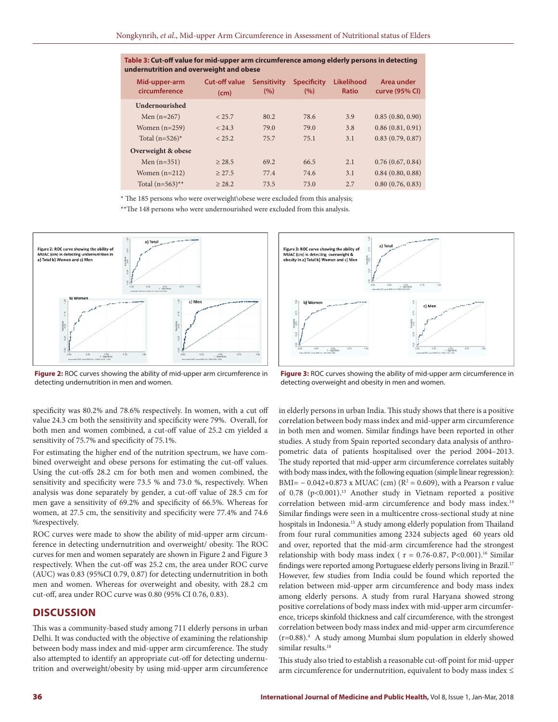| Table 3: Cut-off value for mid-upper arm circumference among elderly persons in detecting |
|-------------------------------------------------------------------------------------------|
| undernutrition and overweight and obese                                                   |

| Mid-upper-arm<br>circumference | <b>Cut-off value</b><br>(cm) | <b>Sensitivity</b><br>(9/6) | <b>Specificity</b><br>(%) | <b>Likelihood</b><br><b>Ratio</b> | Area under<br>curve (95% CI) |
|--------------------------------|------------------------------|-----------------------------|---------------------------|-----------------------------------|------------------------------|
| Undernourished                 |                              |                             |                           |                                   |                              |
| Men $(n=267)$                  | < 25.7                       | 80.2                        | 78.6                      | 3.9                               | 0.85(0.80, 0.90)             |
| Women $(n=259)$                | < 24.3                       | 79.0                        | 79.0                      | 3.8                               | 0.86(0.81, 0.91)             |
| Total $(n=526)^*$              | < 25.2                       | 75.7                        | 75.1                      | 3.1                               | 0.83(0.79, 0.87)             |
| Overweight & obese             |                              |                             |                           |                                   |                              |
| Men $(n=351)$                  | > 28.5                       | 69.2                        | 66.5                      | 2.1                               | 0.76(0.67, 0.84)             |
| Women $(n=212)$                | > 27.5                       | 77.4                        | 74.6                      | 3.1                               | 0.84(0.80, 0.88)             |
| Total $(n=563)$ <sup>**</sup>  | > 28.2                       | 73.5                        | 73.0                      | 2.7                               | 0.80(0.76, 0.83)             |

\* The 185 persons who were overweight\obese were excluded from this analysis;

\*\*The 148 persons who were undernourished were excluded from this analysis.





**Figure 2:** ROC curves showing the ability of mid-upper arm circumference in detecting undernutrition in men and women.

specificity was 80.2% and 78.6% respectively. In women, with a cut off value 24.3 cm both the sensitivity and specificity were 79%. Overall, for both men and women combined, a cut-off value of 25.2 cm yielded a sensitivity of 75.7% and specificity of 75.1%.

For estimating the higher end of the nutrition spectrum, we have combined overweight and obese persons for estimating the cut-off values. Using the cut-offs 28.2 cm for both men and women combined, the sensitivity and specificity were 73.5 % and 73.0 %, respectively. When analysis was done separately by gender, a cut-off value of 28.5 cm for men gave a sensitivity of 69.2% and specificity of 66.5%. Whereas for women, at 27.5 cm, the sensitivity and specificity were 77.4% and 74.6 %respectively.

ROC curves were made to show the ability of mid-upper arm circumference in detecting undernutrition and overweight/ obesity. The ROC curves for men and women separately are shown in Figure 2 and Figure 3 respectively. When the cut-off was 25.2 cm, the area under ROC curve (AUC) was 0.83 (95%CI 0.79, 0.87) for detecting undernutrition in both men and women. Whereas for overweight and obesity, with 28.2 cm cut-off, area under ROC curve was 0.80 (95% CI 0.76, 0.83).

# **DISCUSSION**

This was a community-based study among 711 elderly persons in urban Delhi. It was conducted with the objective of examining the relationship between body mass index and mid-upper arm circumference. The study also attempted to identify an appropriate cut-off for detecting undernutrition and overweight/obesity by using mid-upper arm circumference

**Figure 3:** ROC curves showing the ability of mid-upper arm circumference in detecting overweight and obesity in men and women.

in elderly persons in urban India. This study shows that there is a positive correlation between body mass index and mid-upper arm circumference in both men and women. Similar findings have been reported in other studies. A study from Spain reported secondary data analysis of anthropometric data of patients hospitalised over the period 2004–2013. The study reported that mid-upper arm circumference correlates suitably with body mass index, with the following equation (simple linear regression): BMI=  $-0.042+0.873$  x MUAC (cm) ( $R^2 = 0.609$ ), with a Pearson r value of 0.78 ( $p < 0.001$ ).<sup>13</sup> Another study in Vietnam reported a positive correlation between mid-arm circumference and body mass index.14 Similar findings were seen in a multicentre cross-sectional study at nine hospitals in Indonesia.<sup>15</sup> A study among elderly population from Thailand from four rural communities among 2324 subjects aged 60 years old and over, reported that the mid-arm circumference had the strongest relationship with body mass index ( $r = 0.76-0.87$ , P<0.001).<sup>16</sup> Similar findings were reported among Portuguese elderly persons living in Brazil.<sup>17</sup> However, few studies from India could be found which reported the relation between mid-upper arm circumference and body mass index among elderly persons. A study from rural Haryana showed strong positive correlations of body mass index with mid-upper arm circumference, triceps skinfold thickness and calf circumference, with the strongest correlation between body mass index and mid-upper arm circumference (r=0.88).4 A study among Mumbai slum population in elderly showed similar results.<sup>18</sup>

This study also tried to establish a reasonable cut-off point for mid-upper arm circumference for undernutrition, equivalent to body mass index ≤